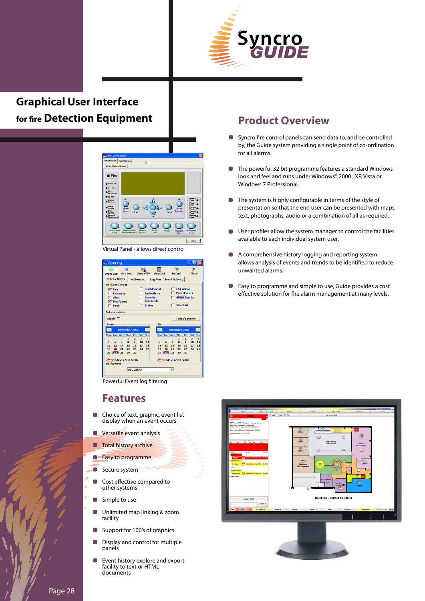

## **Graphical User Interface for fire Detection Equipment**



Virtual Panel - allows direct control

| <b>Event Log</b>                                                                 |                                     |                                |                    |                                       |                            |                          |                   |                |
|----------------------------------------------------------------------------------|-------------------------------------|--------------------------------|--------------------|---------------------------------------|----------------------------|--------------------------|-------------------|----------------|
| <b>Event Log Sim Log</b>                                                         | 曲                                   |                                | <b>View HTML</b>   | <b>View List</b>                      | <⊓<br><b>Default</b>       |                          | $\times$<br>Close |                |
| <b>Types / Dates</b>                                                             |                                     | <b>Addresses</b>               |                    |                                       | Log Files   Event Activity |                          |                   |                |
| <b>List Event Types</b>                                                          |                                     |                                |                    |                                       |                            |                          |                   |                |
| $\nabla$ Fire                                                                    |                                     |                                | <b>Disablement</b> |                                       |                            | <b>C&amp;E Action</b>    |                   |                |
|                                                                                  | <b>Fyacuate</b>                     |                                | <b>Tech-Alarm</b>  |                                       |                            | <b>Panel Events</b>      |                   |                |
| Alert<br><b>Security</b><br><b>GUIDE Events</b><br><b>Test Mode</b><br>Pre-Alarm |                                     |                                |                    |                                       |                            |                          |                   |                |
| <b>F</b> Select All<br><b>Status</b><br>Fault                                    |                                     |                                |                    |                                       |                            |                          |                   |                |
|                                                                                  |                                     |                                |                    |                                       |                            |                          |                   |                |
| <b>Between dates</b>                                                             |                                     |                                |                    |                                       |                            |                          |                   |                |
| Enable $\Box$                                                                    |                                     |                                |                    |                                       |                            | <b>Today's Events</b>    |                   |                |
| From:                                                                            |                                     |                                |                    | To:                                   |                            |                          |                   |                |
| $\rightarrow$<br>$\rightarrow$<br><b>November 2007</b><br><b>November 2007</b>   |                                     |                                |                    |                                       |                            |                          |                   |                |
| Mon Tue Wed Thu                                                                  |                                     | Fri<br>Sat                     | <b>Sur</b>         |                                       | <b>Mon Tue Wed Thu</b>     | Fri                      | Sat               | Sun            |
| 5<br>6                                                                           | $\mathbf{1}$<br>8<br>$\overline{z}$ | $\overline{a}$<br>3<br>9<br>10 | 4<br>11            | 5<br>6                                | 8<br>$\overline{z}$        | $\overline{a}$<br>1<br>9 | 3<br>10           | $\Delta$<br>11 |
| 12<br>13                                                                         | 14<br>15                            | 16<br>17                       | 18                 | 12<br>13                              | 14                         | 15<br>16                 | 17                | 18             |
| 19<br>20                                                                         | 21<br>22                            | 23<br>24                       | 25                 | 19<br>20                              | 21                         | 22<br>23                 | 24                | 25             |
| $26 \overline{672}$ 28                                                           | 29                                  | 30                             |                    | $26 \overline{G}$ $\overline{D}$ $28$ |                            | 30<br>29                 |                   |                |
| <b>2 Today: 27/11/2007</b><br>ご Today: 27/11/2007                                |                                     |                                |                    |                                       |                            |                          |                   |                |
| <b>List by user</b>                                                              |                                     |                                |                    |                                       |                            |                          |                   |                |
|                                                                                  |                                     | <b>ALL USERS</b>               |                    |                                       | $\mathbf{r}$               |                          |                   |                |
|                                                                                  |                                     |                                |                    |                                       |                            |                          |                   |                |

Powerful Event log filtering

#### **Features**

- Choice of text, graphic, event list display when an event occurs
- **Versatile event analysis**
- **Total history archive**
- **Easy to programme**
- Secure system
- Cost effective compared to other systems
- n Simple to use
- П Unlimited map linking & zoom facility
- П Support for 100's of graphics
- Display and control for multiple panels
- Event history explore and export facility to text or HTML documents

### **Product Overview**

- **Syncro fire control panels can send data to, and be controlled** by, the Guide system providing a single point of co-ordination for all alarms.
- $\blacksquare$ The powerful 32 bit programme features a standard Windows look and feel and runs under Windows® 2000 , XP, Vista or Windows 7 Professional.
- **The system is highly configurable in terms of the style of** presentation so that the end user can be presented with maps, text, photographs, audio or a combination of all as required.
- User profiles allow the system manager to control the facilities available to each individual system user.
- $\blacksquare$ A comprehensive history logging and reporting system allows analysis of events and trends to be identified to reduce unwanted alarms.
- Easy to programme and simple to use, Guide provides a cost effective solution for fire alarm management at many levels.